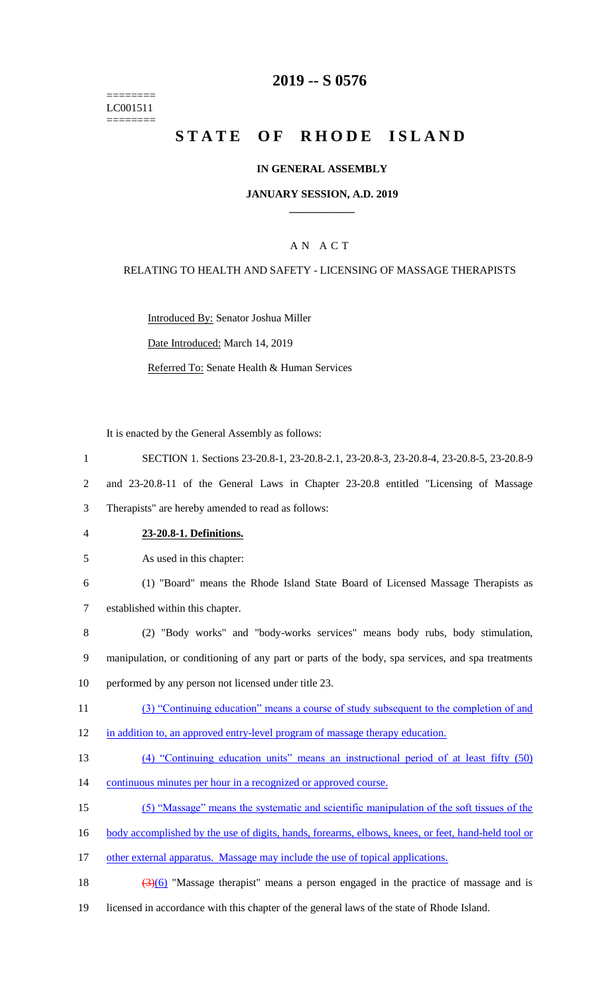======== LC001511 ========

## **2019 -- S 0576**

## STATE OF RHODE ISLAND

## **IN GENERAL ASSEMBLY**

## **JANUARY SESSION, A.D. 2019 \_\_\_\_\_\_\_\_\_\_\_\_**

## A N A C T

## RELATING TO HEALTH AND SAFETY - LICENSING OF MASSAGE THERAPISTS

Introduced By: Senator Joshua Miller

Date Introduced: March 14, 2019

Referred To: Senate Health & Human Services

It is enacted by the General Assembly as follows:

- 1 SECTION 1. Sections 23-20.8-1, 23-20.8-2.1, 23-20.8-3, 23-20.8-4, 23-20.8-5, 23-20.8-9 2 and 23-20.8-11 of the General Laws in Chapter 23-20.8 entitled "Licensing of Massage 3 Therapists" are hereby amended to read as follows: 4 **23-20.8-1. Definitions.** 5 As used in this chapter: 6 (1) "Board" means the Rhode Island State Board of Licensed Massage Therapists as 7 established within this chapter. 8 (2) "Body works" and "body-works services" means body rubs, body stimulation, 9 manipulation, or conditioning of any part or parts of the body, spa services, and spa treatments 10 performed by any person not licensed under title 23. 11 (3) "Continuing education" means a course of study subsequent to the completion of and 12 in addition to, an approved entry-level program of massage therapy education. 13 (4) "Continuing education units" means an instructional period of at least fifty (50) 14 continuous minutes per hour in a recognized or approved course. 15 (5) "Massage" means the systematic and scientific manipulation of the soft tissues of the 16 body accomplished by the use of digits, hands, forearms, elbows, knees, or feet, hand-held tool or 17 other external apparatus. Massage may include the use of topical applications. 18  $(3)(6)$  "Massage therapist" means a person engaged in the practice of massage and is
- 19 licensed in accordance with this chapter of the general laws of the state of Rhode Island.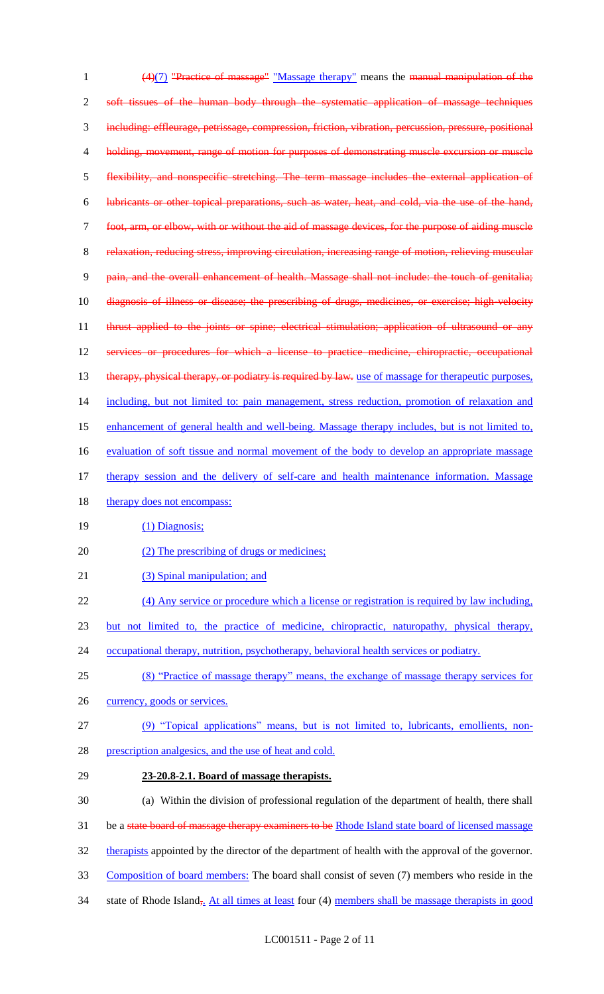1 (4)(7) "Practice of massage" "Massage therapy" means the manual manipulation of the 2 soft tissues of the human body through the systematic application of massage techniques 3 including: effleurage, petrissage, compression, friction, vibration, percussion, pressure, positional 4 holding, movement, range of motion for purposes of demonstrating muscle excursion or muscle 5 flexibility, and nonspecific stretching. The term massage includes the external application of 6 lubricants or other topical preparations, such as water, heat, and cold, via the use of the hand, 7 foot, arm, or elbow, with or without the aid of massage devices, for the purpose of aiding muscle 8 relaxation, reducing stress, improving circulation, increasing range of motion, relieving muscular 9 pain, and the overall enhancement of health. Massage shall not include: the touch of genitalia; 10 diagnosis of illness or disease; the prescribing of drugs, medicines, or exercise; high-velocity 11 thrust applied to the joints or spine; electrical stimulation; application of ultrasound or any 12 services or procedures for which a license to practice medicine, chiropractic, occupational 13 therapy, physical therapy, or podiatry is required by law. use of massage for therapeutic purposes, 14 including, but not limited to: pain management, stress reduction, promotion of relaxation and 15 enhancement of general health and well-being. Massage therapy includes, but is not limited to, 16 evaluation of soft tissue and normal movement of the body to develop an appropriate massage 17 therapy session and the delivery of self-care and health maintenance information. Massage 18 therapy does not encompass: 19 (1) Diagnosis; 20 (2) The prescribing of drugs or medicines; 21 (3) Spinal manipulation; and 22 (4) Any service or procedure which a license or registration is required by law including, 23 but not limited to, the practice of medicine, chiropractic, naturopathy, physical therapy, 24 occupational therapy, nutrition, psychotherapy, behavioral health services or podiatry. 25 (8) "Practice of massage therapy" means, the exchange of massage therapy services for 26 currency, goods or services. 27 (9) "Topical applications" means, but is not limited to, lubricants, emollients, non-28 prescription analgesics, and the use of heat and cold. 29 **23-20.8-2.1. Board of massage therapists.** 30 (a) Within the division of professional regulation of the department of health, there shall 31 be a state board of massage therapy examiners to be Rhode Island state board of licensed massage 32 therapists appointed by the director of the department of health with the approval of the governor. 33 Composition of board members: The board shall consist of seven (7) members who reside in the 34 state of Rhode Island<sub>5</sub>. At all times at least four (4) members shall be massage therapists in good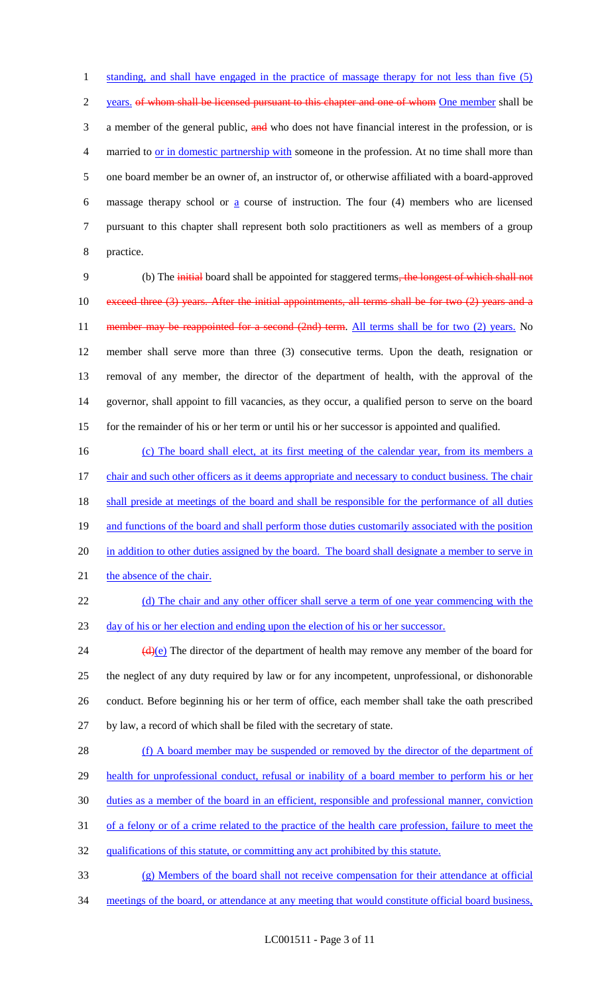1 standing, and shall have engaged in the practice of massage therapy for not less than five (5) 2 years, of whom shall be licensed pursuant to this chapter and one of whom One member shall be 3 a member of the general public, and who does not have financial interest in the profession, or is married to or in domestic partnership with someone in the profession. At no time shall more than one board member be an owner of, an instructor of, or otherwise affiliated with a board-approved massage therapy school or a course of instruction. The four (4) members who are licensed pursuant to this chapter shall represent both solo practitioners as well as members of a group practice.

9 (b) The initial board shall be appointed for staggered terms, the longest of which shall not 10 exceed three (3) years. After the initial appointments, all terms shall be for two (2) years and a 11 member may be reappointed for a second (2nd) term. All terms shall be for two (2) years. No 12 member shall serve more than three (3) consecutive terms. Upon the death, resignation or 13 removal of any member, the director of the department of health, with the approval of the 14 governor, shall appoint to fill vacancies, as they occur, a qualified person to serve on the board 15 for the remainder of his or her term or until his or her successor is appointed and qualified.

16 (c) The board shall elect, at its first meeting of the calendar year, from its members a 17 chair and such other officers as it deems appropriate and necessary to conduct business. The chair 18 shall preside at meetings of the board and shall be responsible for the performance of all duties 19 and functions of the board and shall perform those duties customarily associated with the position 20 in addition to other duties assigned by the board. The board shall designate a member to serve in 21 the absence of the chair.

22 (d) The chair and any other officer shall serve a term of one year commencing with the 23 day of his or her election and ending upon the election of his or her successor.

 $(d)(e)$  The director of the department of health may remove any member of the board for the neglect of any duty required by law or for any incompetent, unprofessional, or dishonorable conduct. Before beginning his or her term of office, each member shall take the oath prescribed by law, a record of which shall be filed with the secretary of state.

28 (f) A board member may be suspended or removed by the director of the department of 29 health for unprofessional conduct, refusal or inability of a board member to perform his or her 30 duties as a member of the board in an efficient, responsible and professional manner, conviction 31 of a felony or of a crime related to the practice of the health care profession, failure to meet the 32 qualifications of this statute, or committing any act prohibited by this statute.

33 (g) Members of the board shall not receive compensation for their attendance at official

34 meetings of the board, or attendance at any meeting that would constitute official board business,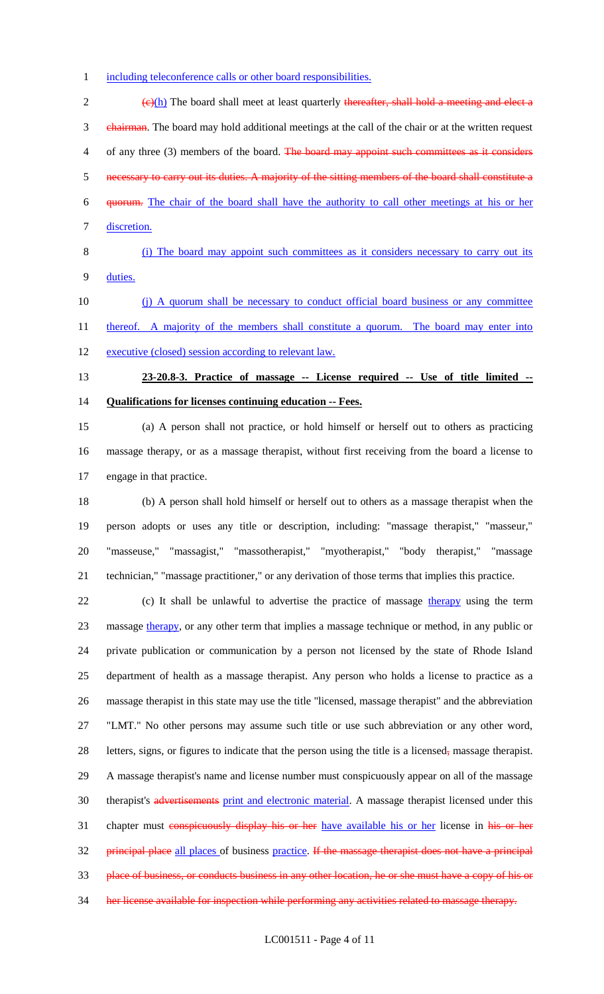1 including teleconference calls or other board responsibilities.

 $\frac{1}{2}$  (e)(h) The board shall meet at least quarterly thereafter, shall hold a meeting and elect a 3 chairman. The board may hold additional meetings at the call of the chair or at the written request 4 of any three (3) members of the board. The board may appoint such committees as it considers necessary to carry out its duties. A majority of the sitting members of the board shall constitute a quorum. The chair of the board shall have the authority to call other meetings at his or her discretion.

## (i) The board may appoint such committees as it considers necessary to carry out its duties.

10 (i) A quorum shall be necessary to conduct official board business or any committee 11 thereof. A majority of the members shall constitute a quorum. The board may enter into 12 executive (closed) session according to relevant law.

# **23-20.8-3. Practice of massage -- License required -- Use of title limited -- Qualifications for licenses continuing education -- Fees.**

 (a) A person shall not practice, or hold himself or herself out to others as practicing massage therapy, or as a massage therapist, without first receiving from the board a license to engage in that practice.

 (b) A person shall hold himself or herself out to others as a massage therapist when the person adopts or uses any title or description, including: "massage therapist," "masseur," "masseuse," "massagist," "massotherapist," "myotherapist," "body therapist," "massage technician," "massage practitioner," or any derivation of those terms that implies this practice.

22 (c) It shall be unlawful to advertise the practice of massage therapy using the term 23 massage therapy, or any other term that implies a massage technique or method, in any public or private publication or communication by a person not licensed by the state of Rhode Island department of health as a massage therapist. Any person who holds a license to practice as a massage therapist in this state may use the title "licensed, massage therapist" and the abbreviation "LMT." No other persons may assume such title or use such abbreviation or any other word, letters, signs, or figures to indicate that the person using the title is a licensed, massage therapist. A massage therapist's name and license number must conspicuously appear on all of the massage 30 therapist's advertisements print and electronic material. A massage therapist licensed under this 31 chapter must conspicuously display his or her have available his or her license in his or her 32 principal place all places of business practice. If the massage therapist does not have a principal place of business, or conducts business in any other location, he or she must have a copy of his or her license available for inspection while performing any activities related to massage therapy.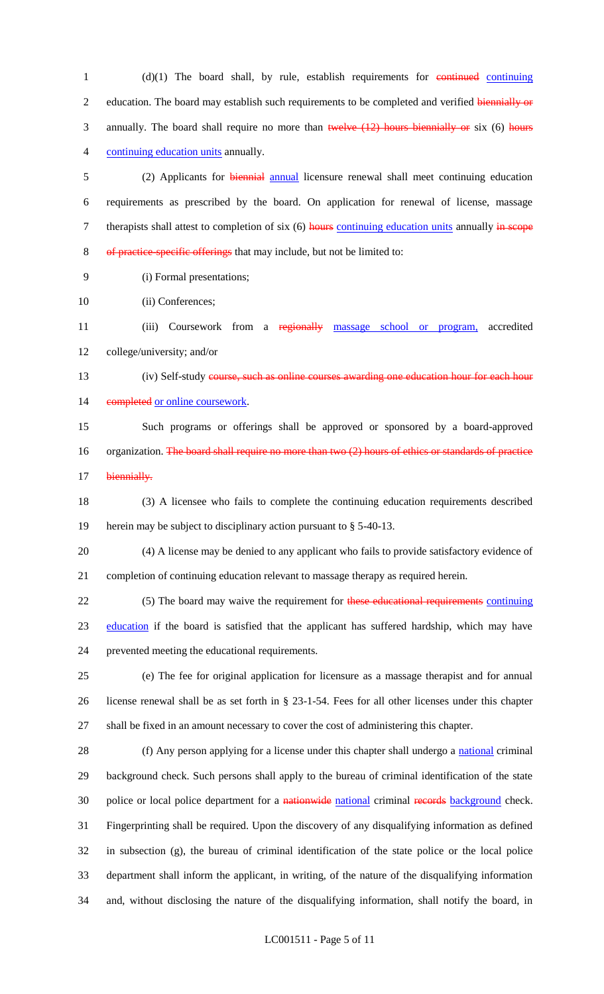1 (d)(1) The board shall, by rule, establish requirements for continuing continuing 2 education. The board may establish such requirements to be completed and verified biennially or 3 annually. The board shall require no more than twelve (12) hours biennially or six (6) hours 4 continuing education units annually.

5 (2) Applicants for biennial annual licensure renewal shall meet continuing education 6 requirements as prescribed by the board. On application for renewal of license, massage 7 therapists shall attest to completion of six (6) hours continuing education units annually in scope 8 of practice-specific offerings that may include, but not be limited to:

9 (i) Formal presentations;

10 (ii) Conferences;

11 (iii) Coursework from a regionally massage school or program, accredited 12 college/university; and/or

- 13 (iv) Self-study course, such as online courses awarding one education hour for each hour 14 completed or online coursework.
- 15 Such programs or offerings shall be approved or sponsored by a board-approved 16 organization. The board shall require no more than two (2) hours of ethics or standards of practice 17 biennially.
- 18 (3) A licensee who fails to complete the continuing education requirements described 19 herein may be subject to disciplinary action pursuant to § 5-40-13.
- 20 (4) A license may be denied to any applicant who fails to provide satisfactory evidence of 21 completion of continuing education relevant to massage therapy as required herein.
- 22 (5) The board may waive the requirement for these educational requirements continuing 23 education if the board is satisfied that the applicant has suffered hardship, which may have 24 prevented meeting the educational requirements.
- 25 (e) The fee for original application for licensure as a massage therapist and for annual 26 license renewal shall be as set forth in § 23-1-54. Fees for all other licenses under this chapter 27 shall be fixed in an amount necessary to cover the cost of administering this chapter.

28 (f) Any person applying for a license under this chapter shall undergo a national criminal background check. Such persons shall apply to the bureau of criminal identification of the state 30 police or local police department for a nationwide national criminal records background check. Fingerprinting shall be required. Upon the discovery of any disqualifying information as defined in subsection (g), the bureau of criminal identification of the state police or the local police department shall inform the applicant, in writing, of the nature of the disqualifying information and, without disclosing the nature of the disqualifying information, shall notify the board, in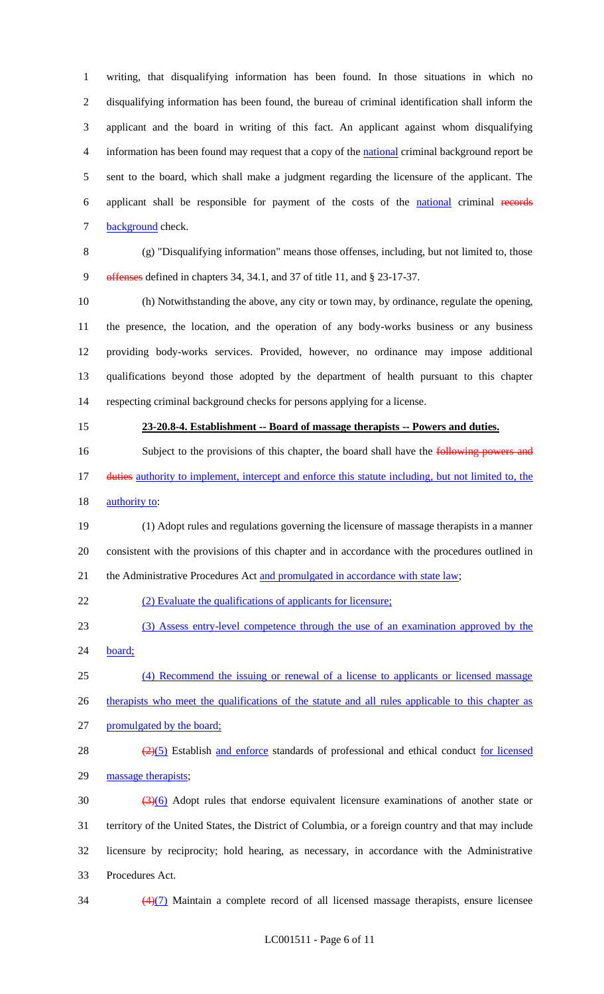writing, that disqualifying information has been found. In those situations in which no disqualifying information has been found, the bureau of criminal identification shall inform the applicant and the board in writing of this fact. An applicant against whom disqualifying information has been found may request that a copy of the national criminal background report be sent to the board, which shall make a judgment regarding the licensure of the applicant. The applicant shall be responsible for payment of the costs of the national criminal records 7 background check.

 (g) "Disqualifying information" means those offenses, including, but not limited to, those offenses defined in chapters 34, 34.1, and 37 of title 11, and § 23-17-37.

 (h) Notwithstanding the above, any city or town may, by ordinance, regulate the opening, the presence, the location, and the operation of any body-works business or any business providing body-works services. Provided, however, no ordinance may impose additional qualifications beyond those adopted by the department of health pursuant to this chapter respecting criminal background checks for persons applying for a license.

### **23-20.8-4. Establishment -- Board of massage therapists -- Powers and duties.**

16 Subject to the provisions of this chapter, the board shall have the following powers and 17 duties authority to implement, intercept and enforce this statute including, but not limited to, the 18 <u>authority to</u>:

 (1) Adopt rules and regulations governing the licensure of massage therapists in a manner consistent with the provisions of this chapter and in accordance with the procedures outlined in 21 the Administrative Procedures Act and promulgated in accordance with state law;

22 (2) Evaluate the qualifications of applicants for licensure;

(3) Assess entry-level competence through the use of an examination approved by the

board;

 (4) Recommend the issuing or renewal of a license to applicants or licensed massage 26 therapists who meet the qualifications of the statute and all rules applicable to this chapter as

promulgated by the board;

28  $\left(\frac{2}{5}\right)$  Establish and enforce standards of professional and ethical conduct for licensed massage therapists;

 $\frac{(3)(6)}{2}$  Adopt rules that endorse equivalent licensure examinations of another state or territory of the United States, the District of Columbia, or a foreign country and that may include licensure by reciprocity; hold hearing, as necessary, in accordance with the Administrative Procedures Act.

 $\frac{(4)(7)}{4}$  Maintain a complete record of all licensed massage therapists, ensure licensee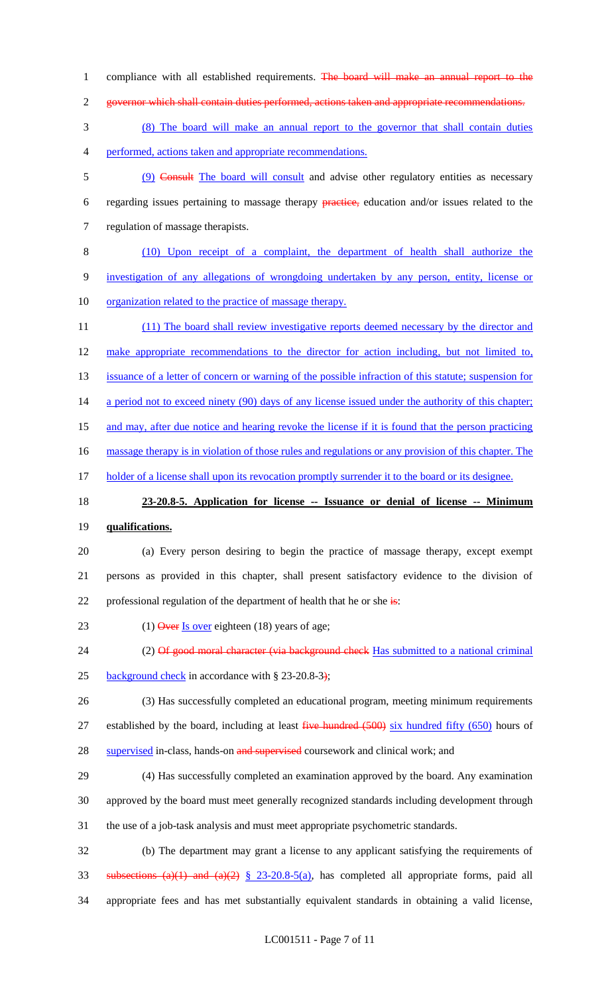- 1 compliance with all established requirements. The board will make an annual report to the
- 2 governor which shall contain duties performed, actions taken and appropriate recommendations.
- 3 (8) The board will make an annual report to the governor that shall contain duties 4 performed, actions taken and appropriate recommendations.
- 5 (9) Consult The board will consult and advise other regulatory entities as necessary 6 regarding issues pertaining to massage therapy practice, education and/or issues related to the 7 regulation of massage therapists.
- 8 (10) Upon receipt of a complaint, the department of health shall authorize the 9 investigation of any allegations of wrongdoing undertaken by any person, entity, license or 10 organization related to the practice of massage therapy.
- 11 (11) The board shall review investigative reports deemed necessary by the director and 12 make appropriate recommendations to the director for action including, but not limited to, 13 issuance of a letter of concern or warning of the possible infraction of this statute; suspension for 14 a period not to exceed ninety (90) days of any license issued under the authority of this chapter; 15 and may, after due notice and hearing revoke the license if it is found that the person practicing 16 massage therapy is in violation of those rules and regulations or any provision of this chapter. The 17 holder of a license shall upon its revocation promptly surrender it to the board or its designee.

## 18 **23-20.8-5. Application for license -- Issuance or denial of license -- Minimum**

- 19 **qualifications.**
- 20 (a) Every person desiring to begin the practice of massage therapy, except exempt 21 persons as provided in this chapter, shall present satisfactory evidence to the division of 22 professional regulation of the department of health that he or she  $\frac{1}{18}$ :
- 23 (1) Over Is over eighteen (18) years of age;
- 24 (2) Of good moral character (via background check Has submitted to a national criminal 25 background check in accordance with § 23-20.8-3);
- 26 (3) Has successfully completed an educational program, meeting minimum requirements 27 established by the board, including at least five hundred (500) six hundred fifty (650) hours of 28 supervised in-class, hands-on and supervised coursework and clinical work; and
- 29 (4) Has successfully completed an examination approved by the board. Any examination 30 approved by the board must meet generally recognized standards including development through 31 the use of a job-task analysis and must meet appropriate psychometric standards.
- 32 (b) The department may grant a license to any applicant satisfying the requirements of 33 subsections  $(a)(1)$  and  $(a)(2) \le 23-20.8-5(a)$ , has completed all appropriate forms, paid all 34 appropriate fees and has met substantially equivalent standards in obtaining a valid license,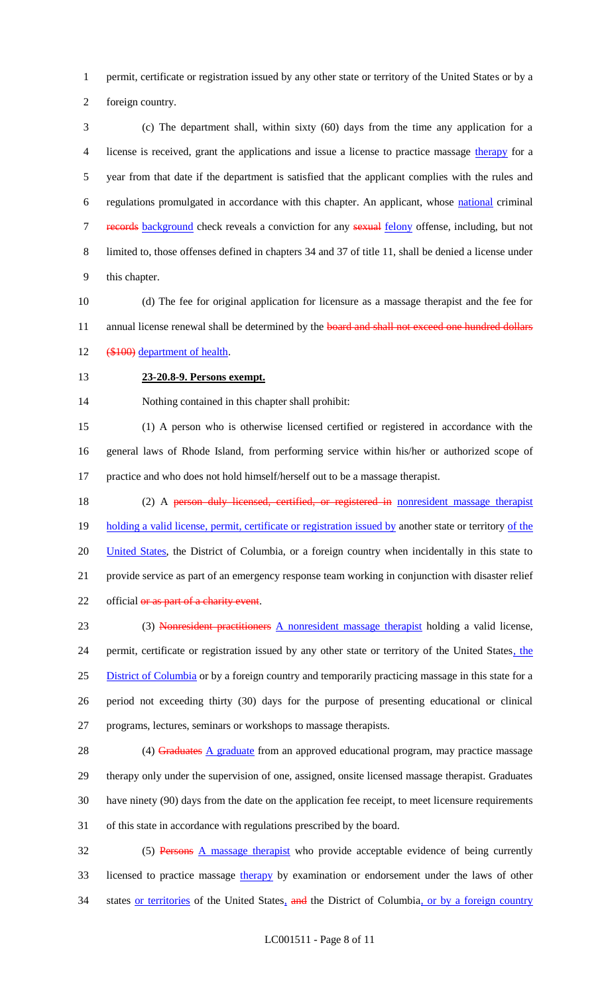permit, certificate or registration issued by any other state or territory of the United States or by a

foreign country.

 (c) The department shall, within sixty (60) days from the time any application for a license is received, grant the applications and issue a license to practice massage therapy for a year from that date if the department is satisfied that the applicant complies with the rules and regulations promulgated in accordance with this chapter. An applicant, whose national criminal 7 records background check reveals a conviction for any sexual felony offense, including, but not limited to, those offenses defined in chapters 34 and 37 of title 11, shall be denied a license under this chapter.

 (d) The fee for original application for licensure as a massage therapist and the fee for 11 annual license renewal shall be determined by the **board and shall not exceed one hundred dollars** (\$100) department of health.

#### **23-20.8-9. Persons exempt.**

Nothing contained in this chapter shall prohibit:

 (1) A person who is otherwise licensed certified or registered in accordance with the general laws of Rhode Island, from performing service within his/her or authorized scope of practice and who does not hold himself/herself out to be a massage therapist.

18 (2) A person duly licensed, certified, or registered in nonresident massage therapist 19 holding a valid license, permit, certificate or registration issued by another state or territory of the 20 United States, the District of Columbia, or a foreign country when incidentally in this state to provide service as part of an emergency response team working in conjunction with disaster relief 22 official or as part of a charity event.

 (3) Nonresident practitioners A nonresident massage therapist holding a valid license, 24 permit, certificate or registration issued by any other state or territory of the United States, the District of Columbia or by a foreign country and temporarily practicing massage in this state for a period not exceeding thirty (30) days for the purpose of presenting educational or clinical programs, lectures, seminars or workshops to massage therapists.

28 (4) Graduates A graduate from an approved educational program, may practice massage therapy only under the supervision of one, assigned, onsite licensed massage therapist. Graduates have ninety (90) days from the date on the application fee receipt, to meet licensure requirements of this state in accordance with regulations prescribed by the board.

 (5) Persons A massage therapist who provide acceptable evidence of being currently 33 licensed to practice massage therapy by examination or endorsement under the laws of other 34 states or territories of the United States, and the District of Columbia, or by a foreign country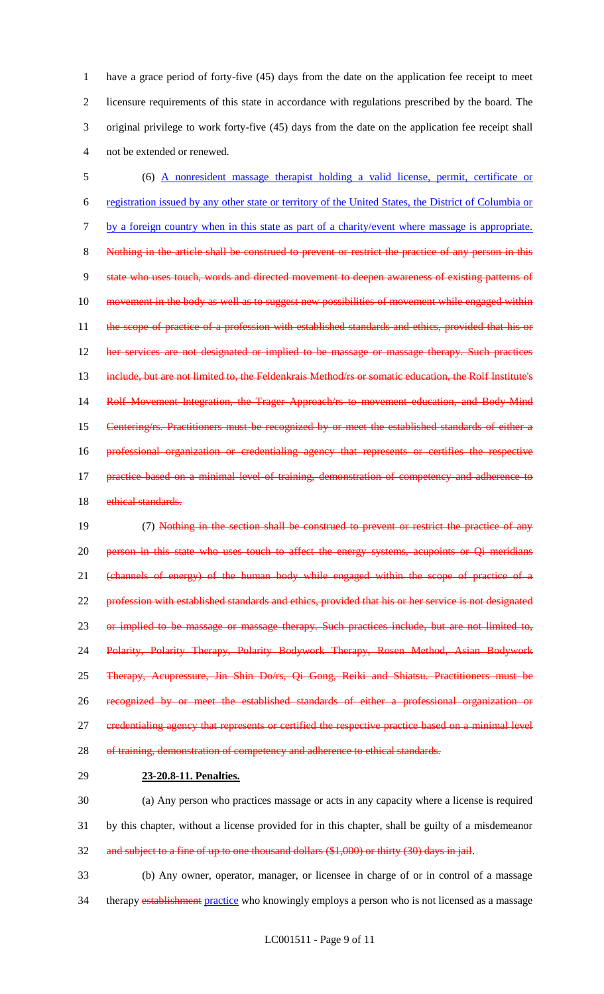have a grace period of forty-five (45) days from the date on the application fee receipt to meet licensure requirements of this state in accordance with regulations prescribed by the board. The original privilege to work forty-five (45) days from the date on the application fee receipt shall not be extended or renewed.

 (6) A nonresident massage therapist holding a valid license, permit, certificate or registration issued by any other state or territory of the United States, the District of Columbia or by a foreign country when in this state as part of a charity/event where massage is appropriate. Nothing in the article shall be construed to prevent or restrict the practice of any person in this state who uses touch, words and directed movement to deepen awareness of existing patterns of 10 movement in the body as well as to suggest new possibilities of movement while engaged within 11 the scope of practice of a profession with established standards and ethics, provided that his or her services are not designated or implied to be massage or massage therapy. Such practices 13 include, but are not limited to, the Feldenkrais Method/rs or somatic education, the Rolf Institute's Rolf Movement Integration, the Trager Approach/rs to movement education, and Body-Mind Centering/rs. Practitioners must be recognized by or meet the established standards of either a professional organization or credentialing agency that represents or certifies the respective 17 practice based on a minimal level of training, demonstration of competency and adherence to 18 ethical standards.

 (7) Nothing in the section shall be construed to prevent or restrict the practice of any 20 person in this state who uses touch to affect the energy systems, acupoints or Qi meridians (channels of energy) of the human body while engaged within the scope of practice of a 22 profession with established standards and ethics, provided that his or her service is not designated 23 or implied to be massage or massage therapy. Such practices include, but are not limited to, Polarity, Polarity Therapy, Polarity Bodywork Therapy, Rosen Method, Asian Bodywork Therapy, Acupressure, Jin Shin Do/rs, Qi Gong, Reiki and Shiatsu. Practitioners must be recognized by or meet the established standards of either a professional organization or 27 credentialing agency that represents or certified the respective practice based on a minimal level 28 of training, demonstration of competency and adherence to ethical standards.

#### **23-20.8-11. Penalties.**

 (a) Any person who practices massage or acts in any capacity where a license is required by this chapter, without a license provided for in this chapter, shall be guilty of a misdemeanor and subject to a fine of up to one thousand dollars (\$1,000) or thirty (30) days in jail.

 (b) Any owner, operator, manager, or licensee in charge of or in control of a massage 34 therapy establishment practice who knowingly employs a person who is not licensed as a massage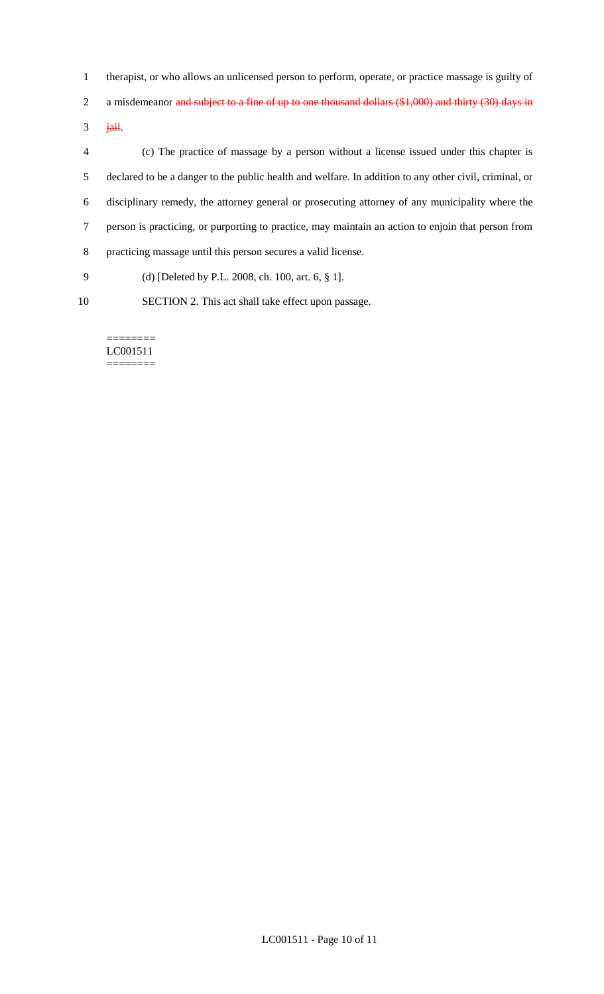therapist, or who allows an unlicensed person to perform, operate, or practice massage is guilty of

2 a misdemeanor and subject to a fine of up to one thousand dollars (\$1,000) and thirty (30) days in

jail.

 (c) The practice of massage by a person without a license issued under this chapter is declared to be a danger to the public health and welfare. In addition to any other civil, criminal, or disciplinary remedy, the attorney general or prosecuting attorney of any municipality where the person is practicing, or purporting to practice, may maintain an action to enjoin that person from practicing massage until this person secures a valid license.

- (d) [Deleted by P.L. 2008, ch. 100, art. 6, § 1].
- SECTION 2. This act shall take effect upon passage.

======== LC001511 ========